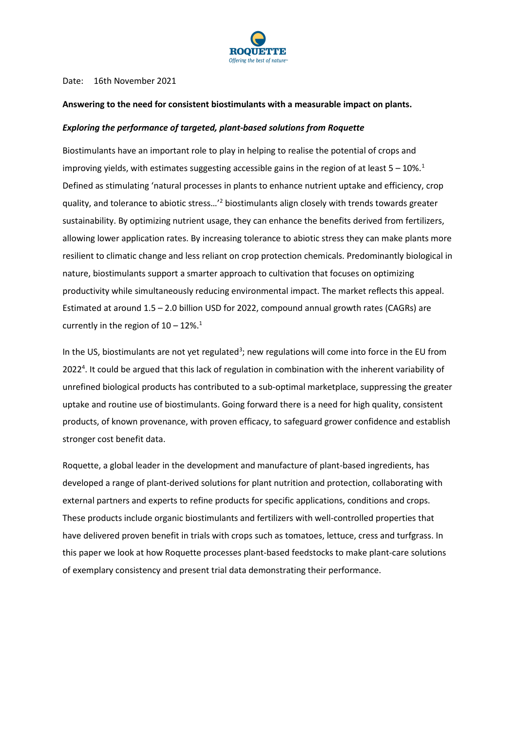

#### Date: 16th November 2021

#### **Answering to the need for consistent biostimulants with a measurable impact on plants.**

#### *Exploring the performance of targeted, plant-based solutions from Roquette*

Biostimulants have an important role to play in helping to realise the potential of crops and improving yields, with estimates suggesting accessible gains in the region of at least  $5 - 10\%$ .<sup>1</sup> Defined as stimulating 'natural processes in plants to enhance nutrient uptake and efficiency, crop quality, and tolerance to abiotic stress…'<sup>2</sup> biostimulants align closely with trends towards greater sustainability. By optimizing nutrient usage, they can enhance the benefits derived from fertilizers, allowing lower application rates. By increasing tolerance to abiotic stress they can make plants more resilient to climatic change and less reliant on crop protection chemicals. Predominantly biological in nature, biostimulants support a smarter approach to cultivation that focuses on optimizing productivity while simultaneously reducing environmental impact. The market reflects this appeal. Estimated at around 1.5 – 2.0 billion USD for 2022, compound annual growth rates (CAGRs) are currently in the region of  $10 - 12\%$ <sup>1</sup>

In the US, biostimulants are not yet regulated<sup>3</sup>; new regulations will come into force in the EU from 2022<sup>4</sup>. It could be argued that this lack of regulation in combination with the inherent variability of unrefined biological products has contributed to a sub-optimal marketplace, suppressing the greater uptake and routine use of biostimulants. Going forward there is a need for high quality, consistent products, of known provenance, with proven efficacy, to safeguard grower confidence and establish stronger cost benefit data.

Roquette, a global leader in the development and manufacture of plant-based ingredients, has developed a range of plant-derived solutions for plant nutrition and protection, collaborating with external partners and experts to refine products for specific applications, conditions and crops. These products include organic biostimulants and fertilizers with well-controlled properties that have delivered proven benefit in trials with crops such as tomatoes, lettuce, cress and turfgrass. In this paper we look at how Roquette processes plant-based feedstocks to make plant-care solutions of exemplary consistency and present trial data demonstrating their performance.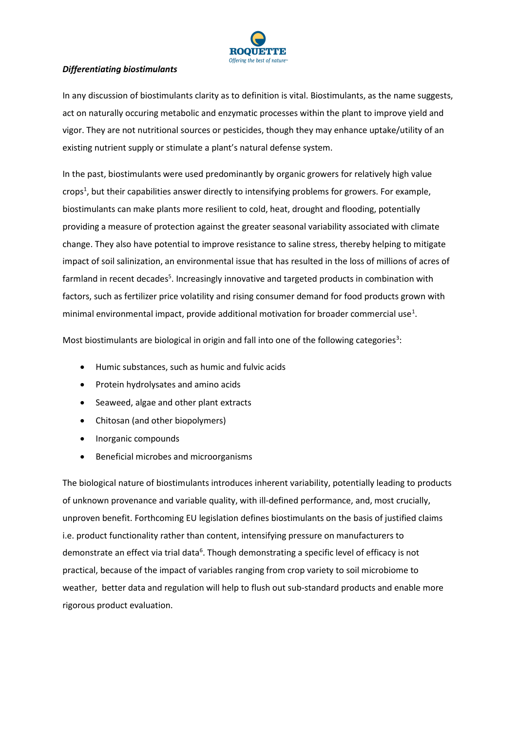

## *Differentiating biostimulants*

In any discussion of biostimulants clarity as to definition is vital. Biostimulants, as the name suggests, act on naturally occuring metabolic and enzymatic processes within the plant to improve yield and vigor. They are not nutritional sources or pesticides, though they may enhance uptake/utility of an existing nutrient supply or stimulate a plant's natural defense system.

In the past, biostimulants were used predominantly by organic growers for relatively high value crops<sup>1</sup>, but their capabilities answer directly to intensifying problems for growers. For example, biostimulants can make plants more resilient to cold, heat, drought and flooding, potentially providing a measure of protection against the greater seasonal variability associated with climate change. They also have potential to improve resistance to saline stress, thereby helping to mitigate impact of soil salinization, an environmental issue that has resulted in the loss of millions of acres of farmland in recent decades<sup>5</sup>. Increasingly innovative and targeted products in combination with factors, such as fertilizer price volatility and rising consumer demand for food products grown with minimal environmental impact, provide additional motivation for broader commercial use<sup>1</sup>.

Most biostimulants are biological in origin and fall into one of the following categories<sup>3</sup>:

- Humic substances, such as humic and fulvic acids
- Protein hydrolysates and amino acids
- Seaweed, algae and other plant extracts
- Chitosan (and other biopolymers)
- Inorganic compounds
- Beneficial microbes and microorganisms

The biological nature of biostimulants introduces inherent variability, potentially leading to products of unknown provenance and variable quality, with ill-defined performance, and, most crucially, unproven benefit. Forthcoming EU legislation defines biostimulants on the basis of justified claims i.e. product functionality rather than content, intensifying pressure on manufacturers to demonstrate an effect via trial data<sup>6</sup>. Though demonstrating a specific level of efficacy is not practical, because of the impact of variables ranging from crop variety to soil microbiome to weather, better data and regulation will help to flush out sub-standard products and enable more rigorous product evaluation.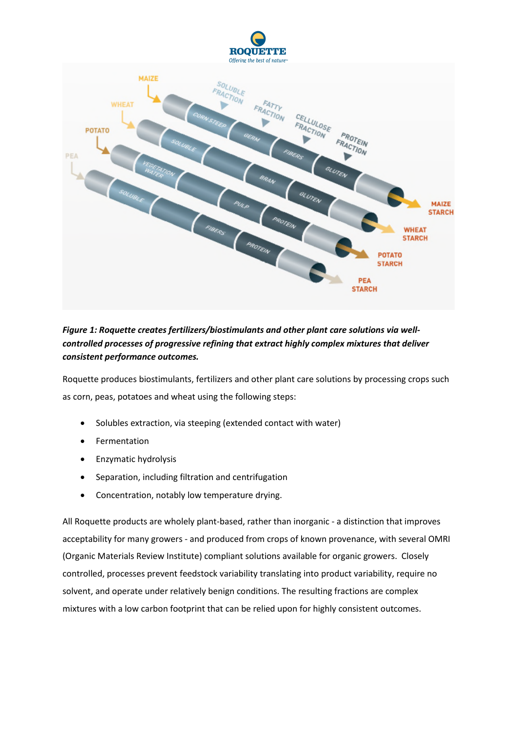

# *Figure 1: Roquette creates fertilizers/biostimulants and other plant care solutions via wellcontrolled processes of progressive refining that extract highly complex mixtures that deliver consistent performance outcomes.*

Roquette produces biostimulants, fertilizers and other plant care solutions by processing crops such as corn, peas, potatoes and wheat using the following steps:

**POTATO STARCH** 

**PEA STARCH** 

- Solubles extraction, via steeping (extended contact with water)
- Fermentation
- **•** Enzymatic hydrolysis
- Separation, including filtration and centrifugation
- Concentration, notably low temperature drying.

All Roquette products are wholely plant-based, rather than inorganic - a distinction that improves acceptability for many growers - and produced from crops of known provenance, with several OMRI (Organic Materials Review Institute) compliant solutions available for organic growers. Closely controlled, processes prevent feedstock variability translating into product variability, require no solvent, and operate under relatively benign conditions. The resulting fractions are complex mixtures with a low carbon footprint that can be relied upon for highly consistent outcomes.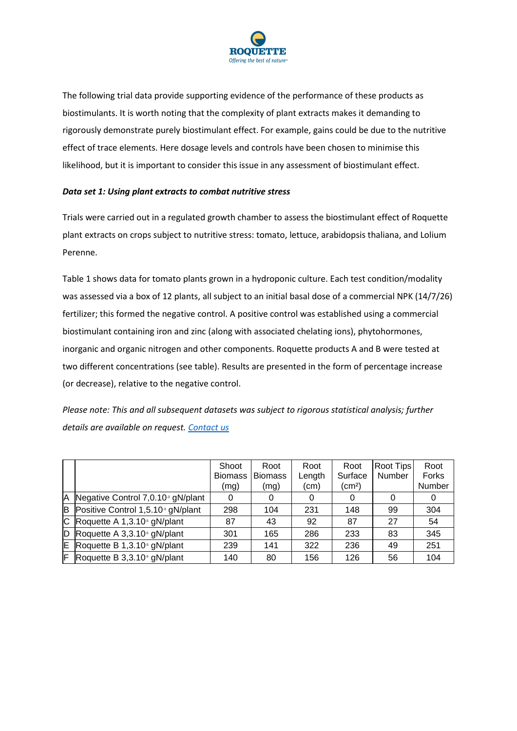

The following trial data provide supporting evidence of the performance of these products as biostimulants. It is worth noting that the complexity of plant extracts makes it demanding to rigorously demonstrate purely biostimulant effect. For example, gains could be due to the nutritive effect of trace elements. Here dosage levels and controls have been chosen to minimise this likelihood, but it is important to consider this issue in any assessment of biostimulant effect.

### *Data set 1: Using plant extracts to combat nutritive stress*

Trials were carried out in a regulated growth chamber to assess the biostimulant effect of Roquette plant extracts on crops subject to nutritive stress: tomato, lettuce, arabidopsis thaliana, and Lolium Perenne.

Table 1 shows data for tomato plants grown in a hydroponic culture. Each test condition/modality was assessed via a box of 12 plants, all subject to an initial basal dose of a commercial NPK (14/7/26) fertilizer; this formed the negative control. A positive control was established using a commercial biostimulant containing iron and zinc (along with associated chelating ions), phytohormones, inorganic and organic nitrogen and other components. Roquette products A and B were tested at two different concentrations (see table). Results are presented in the form of percentage increase (or decrease), relative to the negative control.

*Please note: This and all subsequent datasets was subject to rigorous statistical analysis; further details are available on request. Contact us*

|     |                                               | Shoot<br>Biomass   Biomass<br>(mg) | Root<br>(mg) | Root<br>Length<br>(cm) | Root<br>Surface<br>(cm <sup>2</sup> ) | Root Tips<br>Number | Root<br><b>Forks</b><br>Number |
|-----|-----------------------------------------------|------------------------------------|--------------|------------------------|---------------------------------------|---------------------|--------------------------------|
| IA. | Negative Control 7,0.10 <sup>3</sup> gN/plant | 0                                  | 0            | 0                      |                                       |                     | 0                              |
| B   | Positive Control 1,5.10 <sup>3</sup> gN/plant | 298                                | 104          | 231                    | 148                                   | 99                  | 304                            |
| lC. | Roquette A 1,3.10 <sup>5</sup> gN/plant       | 87                                 | 43           | 92                     | 87                                    | 27                  | 54                             |
|     | $ D $ Roquette A 3,3.10 <sup>5</sup> gN/plant | 301                                | 165          | 286                    | 233                                   | 83                  | 345                            |
| E   | Roquette B 1,3.10 <sup>5</sup> gN/plant       | 239                                | 141          | 322                    | 236                                   | 49                  | 251                            |
| F   | Roquette B 3,3.10 <sup>5</sup> gN/plant       | 140                                | 80           | 156                    | 126                                   | 56                  | 104                            |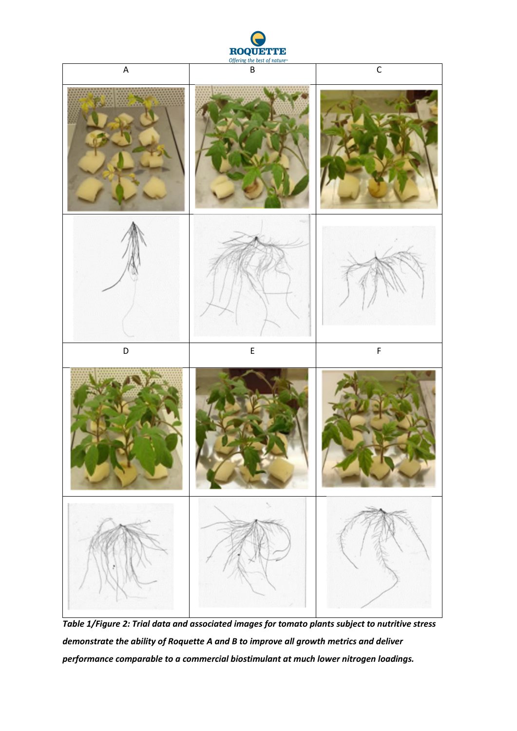



*Table 1/Figure 2: Trial data and associated images for tomato plants subject to nutritive stress demonstrate the ability of Roquette A and B to improve all growth metrics and deliver performance comparable to a commercial biostimulant at much lower nitrogen loadings.*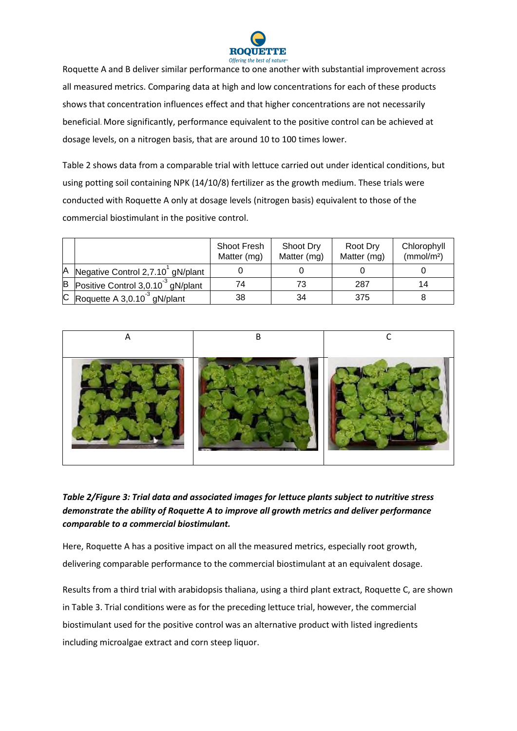![](_page_5_Picture_0.jpeg)

Roquette A and B deliver similar performance to one another with substantial improvement across all measured metrics. Comparing data at high and low concentrations for each of these products shows that concentration influences effect and that higher concentrations are not necessarily beneficial. More significantly, performance equivalent to the positive control can be achieved at dosage levels, on a nitrogen basis, that are around 10 to 100 times lower.

Table 2 shows data from a comparable trial with lettuce carried out under identical conditions, but using potting soil containing NPK (14/10/8) fertilizer as the growth medium. These trials were conducted with Roquette A only at dosage levels (nitrogen basis) equivalent to those of the commercial biostimulant in the positive control.

|   |                                               | <b>Shoot Fresh</b><br>Matter (mg) | Shoot Dry<br>Matter (mg) | Root Dry<br>Matter (mg) | Chlorophyll<br>(mmol/m <sup>2</sup> ) |
|---|-----------------------------------------------|-----------------------------------|--------------------------|-------------------------|---------------------------------------|
| Α | Negative Control 2,7.10 gN/plant              |                                   |                          |                         |                                       |
| в | Positive Control 3,0.10 <sup>3</sup> gN/plant | 74                                | 73                       | 287                     | 14                                    |
|   | C Roquette A 3,0.10 <sup>3</sup> gN/plant     | 38                                | 34                       | 375                     |                                       |

![](_page_5_Picture_4.jpeg)

# *Table 2/Figure 3: Trial data and associated images for lettuce plants subject to nutritive stress demonstrate the ability of Roquette A to improve all growth metrics and deliver performance comparable to a commercial biostimulant.*

Here, Roquette A has a positive impact on all the measured metrics, especially root growth, delivering comparable performance to the commercial biostimulant at an equivalent dosage.

Results from a third trial with arabidopsis thaliana, using a third plant extract, Roquette C, are shown in Table 3. Trial conditions were as for the preceding lettuce trial, however, the commercial biostimulant used for the positive control was an alternative product with listed ingredients including microalgae extract and corn steep liquor.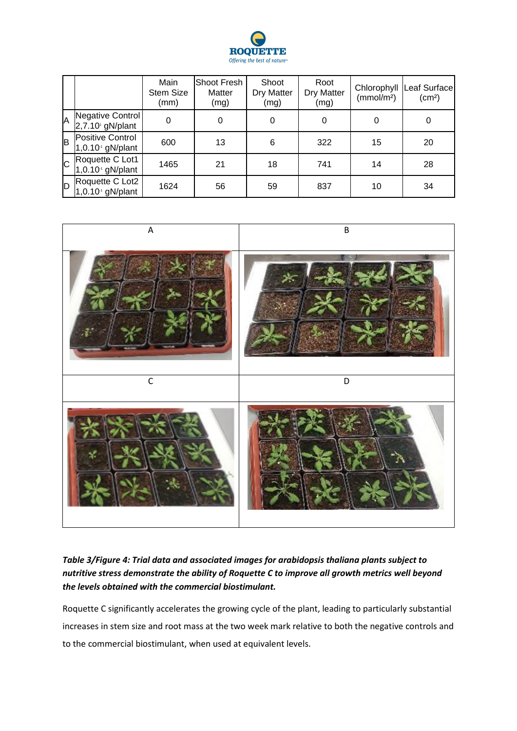![](_page_6_Picture_0.jpeg)

|                |                                                    | Main<br><b>Stem Size</b><br>(mm) | Shoot Fresh<br>Matter<br>(mg) | Shoot<br>Dry Matter<br>(mg) | Root<br>Dry Matter<br>(mg) | Chlorophyll<br>(mmol/m <sup>2</sup> ) | Leaf Surface<br>(cm <sup>2</sup> ) |
|----------------|----------------------------------------------------|----------------------------------|-------------------------------|-----------------------------|----------------------------|---------------------------------------|------------------------------------|
| A              | Negative Control<br>$2,7.10$ gN/plant              | 0                                | 0                             | 0                           | 0                          | 0                                     | 0                                  |
| B              | Positive Control<br>$1,0.10$ <sup>4</sup> gN/plant | 600                              | 13                            | 6                           | 322                        | 15                                    | 20                                 |
| $\overline{C}$ | Roquette C Lot1<br>$1,0.104$ gN/plant              | 1465                             | 21                            | 18                          | 741                        | 14                                    | 28                                 |
| ID.            | Roquette C Lot2<br>$1,0.104$ gN/plant              | 1624                             | 56                            | 59                          | 837                        | 10                                    | 34                                 |

![](_page_6_Picture_2.jpeg)

# *Table 3/Figure 4: Trial data and associated images for arabidopsis thaliana plants subject to nutritive stress demonstrate the ability of Roquette C to improve all growth metrics well beyond the levels obtained with the commercial biostimulant.*

Roquette C significantly accelerates the growing cycle of the plant, leading to particularly substantial increases in stem size and root mass at the two week mark relative to both the negative controls and to the commercial biostimulant, when used at equivalent levels.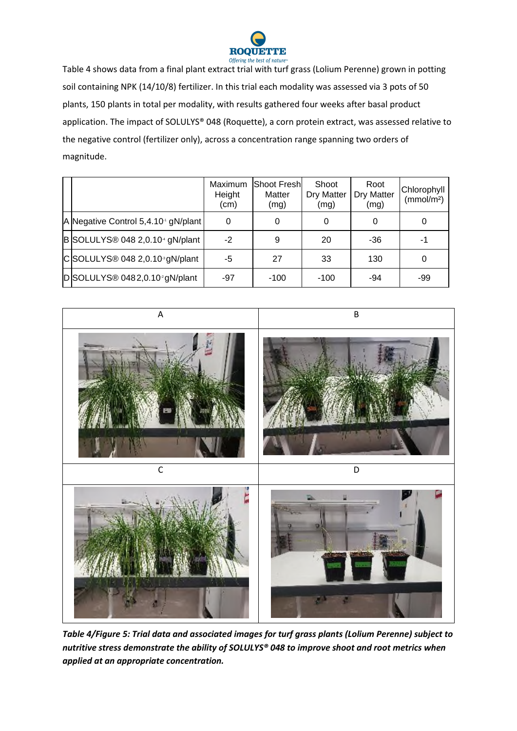![](_page_7_Picture_0.jpeg)

Table 4 shows data from a final plant extract trial with turf grass (Lolium Perenne) grown in potting soil containing NPK (14/10/8) fertilizer. In this trial each modality was assessed via 3 pots of 50 plants, 150 plants in total per modality, with results gathered four weeks after basal product application. The impact of SOLULYS® 048 (Roquette), a corn protein extract, was assessed relative to the negative control (fertilizer only), across a concentration range spanning two orders of magnitude.

|                                                         | <b>Maximum</b><br>Height<br>(cm) | lShoot Freshl<br>Matter<br>(mg) | Shoot<br>Dry Matter<br>(mg) | Root<br><b>Dry Matter</b><br>(mg) | Chlorophyll<br>(mmol/m <sup>2</sup> ) |
|---------------------------------------------------------|----------------------------------|---------------------------------|-----------------------------|-----------------------------------|---------------------------------------|
| A Negative Control 5,4.10 <sup>1</sup> gN/plant         | 0                                |                                 |                             | 0                                 | 0                                     |
| B SOLULYS <sup>®</sup> 048 2,0.10 <sup>4</sup> gN/plant | $-2$                             | 9                               | 20                          | -36                               | -1                                    |
| $ C $ SOLULYS® 048 2,0.10 <sup>3</sup> gN/plant         | -5                               | 27                              | 33                          | 130                               | 0                                     |
| D SOLULYS <sup>®</sup> 0482,0.10 <sup>2</sup> gN/plant  | -97                              | -100                            | $-100$                      | -94                               | -99                                   |

![](_page_7_Picture_3.jpeg)

*Table 4/Figure 5: Trial data and associated images for turf grass plants (Lolium Perenne) subject to nutritive stress demonstrate the ability of SOLULYS® 048 to improve shoot and root metrics when applied at an appropriate concentration.*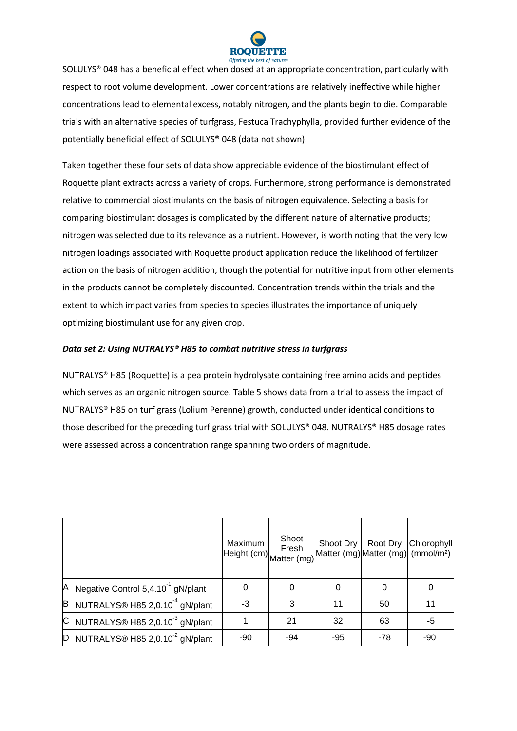![](_page_8_Picture_0.jpeg)

SOLULYS® 048 has a beneficial effect when dosed at an appropriate concentration, particularly with respect to root volume development. Lower concentrations are relatively ineffective while higher concentrations lead to elemental excess, notably nitrogen, and the plants begin to die. Comparable trials with an alternative species of turfgrass, Festuca Trachyphylla, provided further evidence of the potentially beneficial effect of SOLULYS® 048 (data not shown).

Taken together these four sets of data show appreciable evidence of the biostimulant effect of Roquette plant extracts across a variety of crops. Furthermore, strong performance is demonstrated relative to commercial biostimulants on the basis of nitrogen equivalence. Selecting a basis for comparing biostimulant dosages is complicated by the different nature of alternative products; nitrogen was selected due to its relevance as a nutrient. However, is worth noting that the very low nitrogen loadings associated with Roquette product application reduce the likelihood of fertilizer action on the basis of nitrogen addition, though the potential for nutritive input from other elements in the products cannot be completely discounted. Concentration trends within the trials and the extent to which impact varies from species to species illustrates the importance of uniquely optimizing biostimulant use for any given crop.

### *Data set 2: Using NUTRALYS® H85 to combat nutritive stress in turfgrass*

NUTRALYS® H85 (Roquette) is a pea protein hydrolysate containing free amino acids and peptides which serves as an organic nitrogen source. Table 5 shows data from a trial to assess the impact of NUTRALYS® H85 on turf grass (Lolium Perenne) growth, conducted under identical conditions to those described for the preceding turf grass trial with SOLULYS® 048. NUTRALYS® H85 dosage rates were assessed across a concentration range spanning two orders of magnitude.

|   |                                                       | Maximum | Shoot<br>Fresh<br>Height (cm) Matter (mg)" | Shoot Dry |       | Root Dry Chlorophyll<br>Matter (mg) Matter (mg) (mmol/m <sup>2</sup> ) |
|---|-------------------------------------------------------|---------|--------------------------------------------|-----------|-------|------------------------------------------------------------------------|
| A | Negative Control 5,4.10 <sup>-1</sup> gN/plant        | 0       |                                            | 0         |       | 0                                                                      |
|   | $\vert$ B NUTRALYS® H85 2,0.10 <sup>-4</sup> gN/plant | $-3$    | 3                                          | 11        | 50    | 11                                                                     |
|   | C NUTRALYS® H85 2,0.10 $3$ gN/plant                   |         | 21                                         | 32        | 63    | -5                                                                     |
|   | $\vert$ D NUTRALYS® H85 2,0.10 <sup>-2</sup> gN/plant | -90     | -94                                        | -95       | $-78$ | -90                                                                    |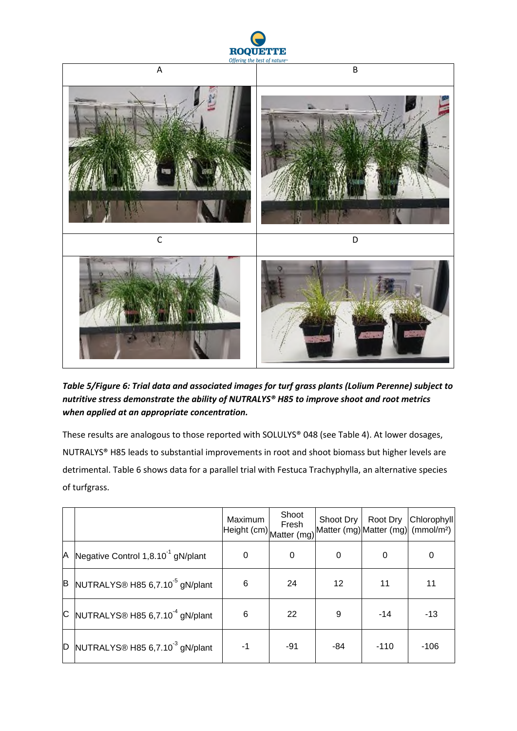![](_page_9_Picture_0.jpeg)

![](_page_9_Picture_1.jpeg)

*Table 5/Figure 6: Trial data and associated images for turf grass plants (Lolium Perenne) subject to nutritive stress demonstrate the ability of NUTRALYS® H85 to improve shoot and root metrics when applied at an appropriate concentration.*

These results are analogous to those reported with SOLULYS® 048 (see Table 4). At lower dosages, NUTRALYS® H85 leads to substantial improvements in root and shoot biomass but higher levels are detrimental. Table 6 shows data for a parallel trial with Festuca Trachyphylla, an alternative species of turfgrass.

|   |                                                                       | Maximum<br>Height (cm) Matter (mg) <sup>"</sup> | Shoot<br>Fresh | Shoot Dry | Root Dry<br>Matter (mg) Matter (mg) (mmol/m <sup>2</sup> ) | <b>Chlorophyll</b> |
|---|-----------------------------------------------------------------------|-------------------------------------------------|----------------|-----------|------------------------------------------------------------|--------------------|
| Α | Negative Control 1,8.10 <sup>-1</sup> gN/plant                        | 0                                               | 0              | 0         |                                                            | 0                  |
| B | NUTRALYS® H85 6,7.10 <sup>-5</sup> gN/plant                           | 6                                               | 24             | 12        | 11                                                         | 11                 |
|   | $\textdegree$ NUTRALYS <sup>®</sup> H85 6,7.10 <sup>-4</sup> gN/plant | 6                                               | 22             | 9         | $-14$                                                      | $-13$              |
| D | NUTRALYS® H85 6,7.10 <sup>-3</sup> gN/plant                           | $-1$                                            | -91            | -84       | $-110$                                                     | $-106$             |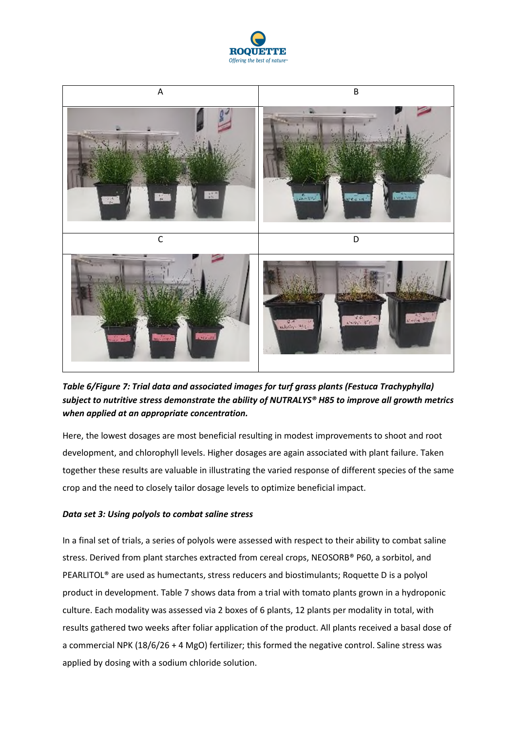![](_page_10_Picture_0.jpeg)

![](_page_10_Picture_1.jpeg)

*Table 6/Figure 7: Trial data and associated images for turf grass plants (Festuca Trachyphylla) subject to nutritive stress demonstrate the ability of NUTRALYS® H85 to improve all growth metrics when applied at an appropriate concentration.*

Here, the lowest dosages are most beneficial resulting in modest improvements to shoot and root development, and chlorophyll levels. Higher dosages are again associated with plant failure. Taken together these results are valuable in illustrating the varied response of different species of the same crop and the need to closely tailor dosage levels to optimize beneficial impact.

### *Data set 3: Using polyols to combat saline stress*

In a final set of trials, a series of polyols were assessed with respect to their ability to combat saline stress. Derived from plant starches extracted from cereal crops, NEOSORB® P60, a sorbitol, and PEARLITOL® are used as humectants, stress reducers and biostimulants; Roquette D is a polyol product in development. Table 7 shows data from a trial with tomato plants grown in a hydroponic culture. Each modality was assessed via 2 boxes of 6 plants, 12 plants per modality in total, with results gathered two weeks after foliar application of the product. All plants received a basal dose of a commercial NPK (18/6/26 + 4 MgO) fertilizer; this formed the negative control. Saline stress was applied by dosing with a sodium chloride solution.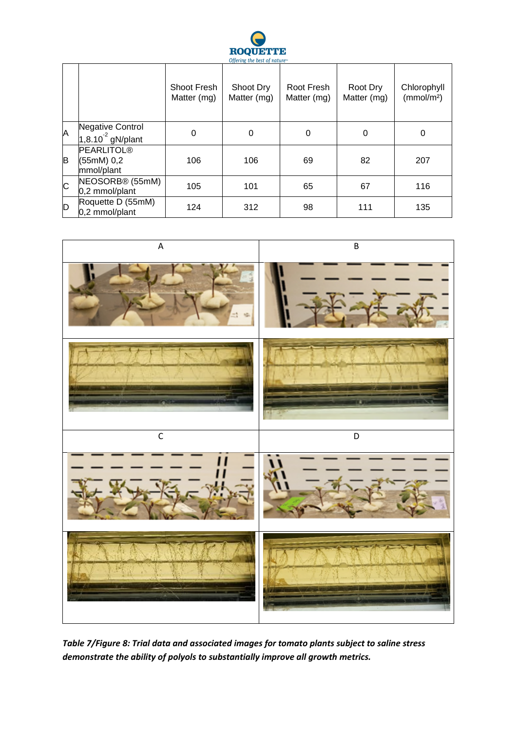![](_page_11_Picture_0.jpeg)

|                       |                                               | Shoot Fresh<br>Matter (mg) | Shoot Dry<br>Matter (mg) | Root Fresh<br>Matter (mg) | Root Dry<br>Matter (mg) | Chlorophyll<br>(mmol/m <sup>2</sup> ) |
|-----------------------|-----------------------------------------------|----------------------------|--------------------------|---------------------------|-------------------------|---------------------------------------|
| A                     | Negative Control<br>$1,8.10^{2}$ gN/plant     | 0                          | $\mathbf 0$              | 0                         | 0                       | 0                                     |
| B                     | <b>PEARLITOL®</b><br>(55mM) 0,2<br>mmol/plant | 106                        | 106                      | 69                        | 82                      | 207                                   |
| $\overline{\text{c}}$ | NEOSORB <sup>®</sup> (55mM)<br>0,2 mmol/plant | 105                        | 101                      | 65                        | 67                      | 116                                   |
| Þ                     | Roquette D (55mM)<br>0,2 mmol/plant           | 124                        | 312                      | 98                        | 111                     | 135                                   |

![](_page_11_Picture_2.jpeg)

*Table 7/Figure 8: Trial data and associated images for tomato plants subject to saline stress demonstrate the ability of polyols to substantially improve all growth metrics.*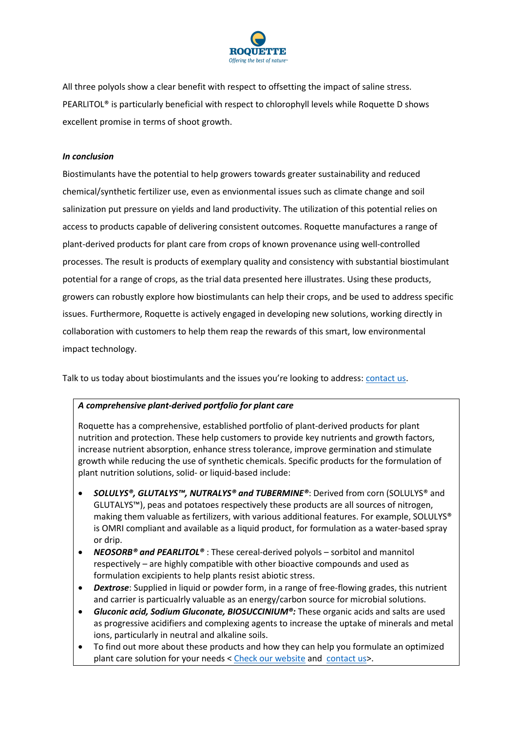![](_page_12_Picture_0.jpeg)

All three polyols show a clear benefit with respect to offsetting the impact of saline stress. PEARLITOL® is particularly beneficial with respect to chlorophyll levels while Roquette D shows excellent promise in terms of shoot growth.

### *In conclusion*

Biostimulants have the potential to help growers towards greater sustainability and reduced chemical/synthetic fertilizer use, even as envionmental issues such as climate change and soil salinization put pressure on yields and land productivity. The utilization of this potential relies on access to products capable of delivering consistent outcomes. Roquette manufactures a range of plant-derived products for plant care from crops of known provenance using well-controlled processes. The result is products of exemplary quality and consistency with substantial biostimulant potential for a range of crops, as the trial data presented here illustrates. Using these products, growers can robustly explore how biostimulants can help their crops, and be used to address specific issues. Furthermore, Roquette is actively engaged in developing new solutions, working directly in collaboration with customers to help them reap the rewards of this smart, low environmental impact technology.

Talk to us today about biostimulants and the issues you're looking to address: contact us.

## *A comprehensive plant-derived portfolio for plant care*

Roquette has a comprehensive, established portfolio of plant-derived products for plant nutrition and protection. These help customers to provide key nutrients and growth factors, increase nutrient absorption, enhance stress tolerance, improve germination and stimulate growth while reducing the use of synthetic chemicals. Specific products for the formulation of plant nutrition solutions, solid- or liquid-based include:

- *SOLULYS®, GLUTALYS™, NUTRALYS® and TUBERMINE®*: Derived from corn (SOLULYS® and GLUTALYS™), peas and potatoes respectively these products are all sources of nitrogen, making them valuable as fertilizers, with various additional features. For example, SOLULYS® is OMRI compliant and available as a liquid product, for formulation as a water-based spray or drip.
- *NEOSORB® and PEARLITOL®* : These cereal-derived polyols sorbitol and mannitol respectively – are highly compatible with other bioactive compounds and used as formulation excipients to help plants resist abiotic stress.
- *Dextrose*: Supplied in liquid or powder form, in a range of free-flowing grades, this nutrient and carrier is particualrly valuable as an energy/carbon source for microbial solutions.
- *Gluconic acid, Sodium Gluconate, BIOSUCCINIUM®:* These organic acids and salts are used as progressive acidifiers and complexing agents to increase the uptake of minerals and metal ions, particularly in neutral and alkaline soils.
- To find out more about these products and how they can help you formulate an optimized plant care solution for your needs < Check our website and contact us>.